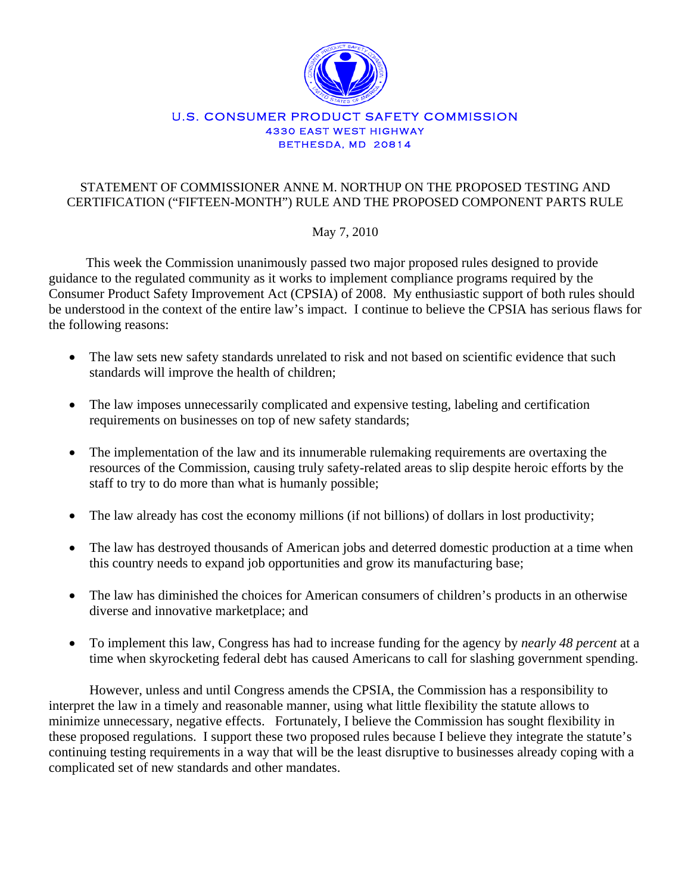

#### U.S. CONSUMER PRODUCT SAFETY COMMISSION 4330 EAST WEST HIGHWAY BETHESDA, MD 20814

## STATEMENT OF COMMISSIONER ANNE M. NORTHUP ON THE PROPOSED TESTING AND CERTIFICATION ("FIFTEEN-MONTH") RULE AND THE PROPOSED COMPONENT PARTS RULE

# May 7, 2010

 This week the Commission unanimously passed two major proposed rules designed to provide guidance to the regulated community as it works to implement compliance programs required by the Consumer Product Safety Improvement Act (CPSIA) of 2008. My enthusiastic support of both rules should be understood in the context of the entire law's impact. I continue to believe the CPSIA has serious flaws for the following reasons:

- The law sets new safety standards unrelated to risk and not based on scientific evidence that such standards will improve the health of children;
- The law imposes unnecessarily complicated and expensive testing, labeling and certification requirements on businesses on top of new safety standards;
- The implementation of the law and its innumerable rulemaking requirements are overtaxing the resources of the Commission, causing truly safety-related areas to slip despite heroic efforts by the staff to try to do more than what is humanly possible;
- The law already has cost the economy millions (if not billions) of dollars in lost productivity;
- The law has destroyed thousands of American jobs and deterred domestic production at a time when this country needs to expand job opportunities and grow its manufacturing base;
- The law has diminished the choices for American consumers of children's products in an otherwise diverse and innovative marketplace; and
- To implement this law, Congress has had to increase funding for the agency by *nearly 48 percent* at a time when skyrocketing federal debt has caused Americans to call for slashing government spending.

However, unless and until Congress amends the CPSIA, the Commission has a responsibility to interpret the law in a timely and reasonable manner, using what little flexibility the statute allows to minimize unnecessary, negative effects. Fortunately, I believe the Commission has sought flexibility in these proposed regulations. I support these two proposed rules because I believe they integrate the statute's continuing testing requirements in a way that will be the least disruptive to businesses already coping with a complicated set of new standards and other mandates.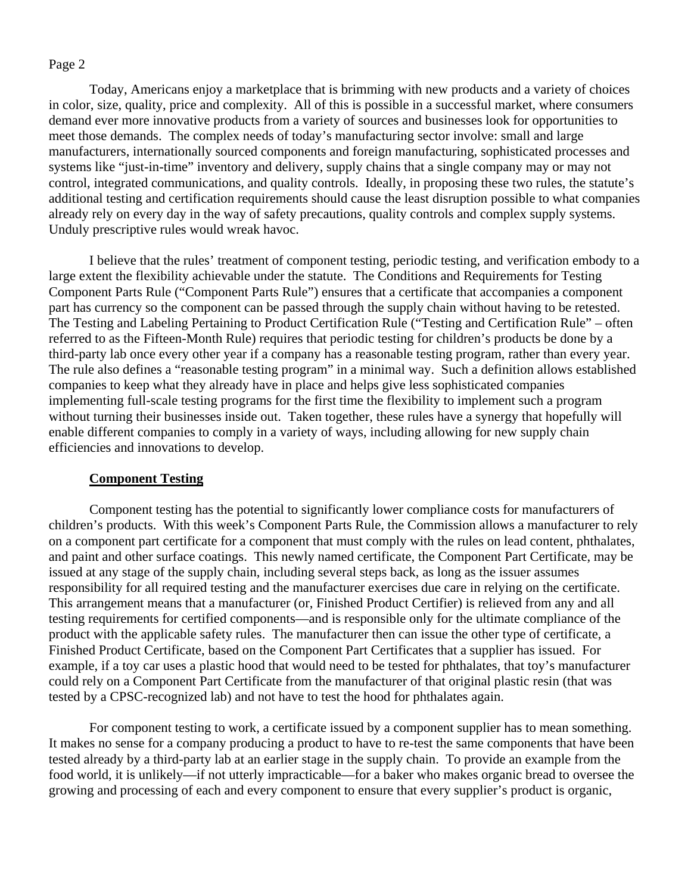Today, Americans enjoy a marketplace that is brimming with new products and a variety of choices in color, size, quality, price and complexity. All of this is possible in a successful market, where consumers demand ever more innovative products from a variety of sources and businesses look for opportunities to meet those demands. The complex needs of today's manufacturing sector involve: small and large manufacturers, internationally sourced components and foreign manufacturing, sophisticated processes and systems like "just-in-time" inventory and delivery, supply chains that a single company may or may not control, integrated communications, and quality controls. Ideally, in proposing these two rules, the statute's additional testing and certification requirements should cause the least disruption possible to what companies already rely on every day in the way of safety precautions, quality controls and complex supply systems. Unduly prescriptive rules would wreak havoc.

I believe that the rules' treatment of component testing, periodic testing, and verification embody to a large extent the flexibility achievable under the statute. The Conditions and Requirements for Testing Component Parts Rule ("Component Parts Rule") ensures that a certificate that accompanies a component part has currency so the component can be passed through the supply chain without having to be retested. The Testing and Labeling Pertaining to Product Certification Rule ("Testing and Certification Rule" – often referred to as the Fifteen-Month Rule) requires that periodic testing for children's products be done by a third-party lab once every other year if a company has a reasonable testing program, rather than every year. The rule also defines a "reasonable testing program" in a minimal way. Such a definition allows established companies to keep what they already have in place and helps give less sophisticated companies implementing full-scale testing programs for the first time the flexibility to implement such a program without turning their businesses inside out. Taken together, these rules have a synergy that hopefully will enable different companies to comply in a variety of ways, including allowing for new supply chain efficiencies and innovations to develop.

#### **Component Testing**

Component testing has the potential to significantly lower compliance costs for manufacturers of children's products. With this week's Component Parts Rule, the Commission allows a manufacturer to rely on a component part certificate for a component that must comply with the rules on lead content, phthalates, and paint and other surface coatings. This newly named certificate, the Component Part Certificate, may be issued at any stage of the supply chain, including several steps back, as long as the issuer assumes responsibility for all required testing and the manufacturer exercises due care in relying on the certificate. This arrangement means that a manufacturer (or, Finished Product Certifier) is relieved from any and all testing requirements for certified components—and is responsible only for the ultimate compliance of the product with the applicable safety rules. The manufacturer then can issue the other type of certificate, a Finished Product Certificate, based on the Component Part Certificates that a supplier has issued. For example, if a toy car uses a plastic hood that would need to be tested for phthalates, that toy's manufacturer could rely on a Component Part Certificate from the manufacturer of that original plastic resin (that was tested by a CPSC-recognized lab) and not have to test the hood for phthalates again.

For component testing to work, a certificate issued by a component supplier has to mean something. It makes no sense for a company producing a product to have to re-test the same components that have been tested already by a third-party lab at an earlier stage in the supply chain. To provide an example from the food world, it is unlikely—if not utterly impracticable—for a baker who makes organic bread to oversee the growing and processing of each and every component to ensure that every supplier's product is organic,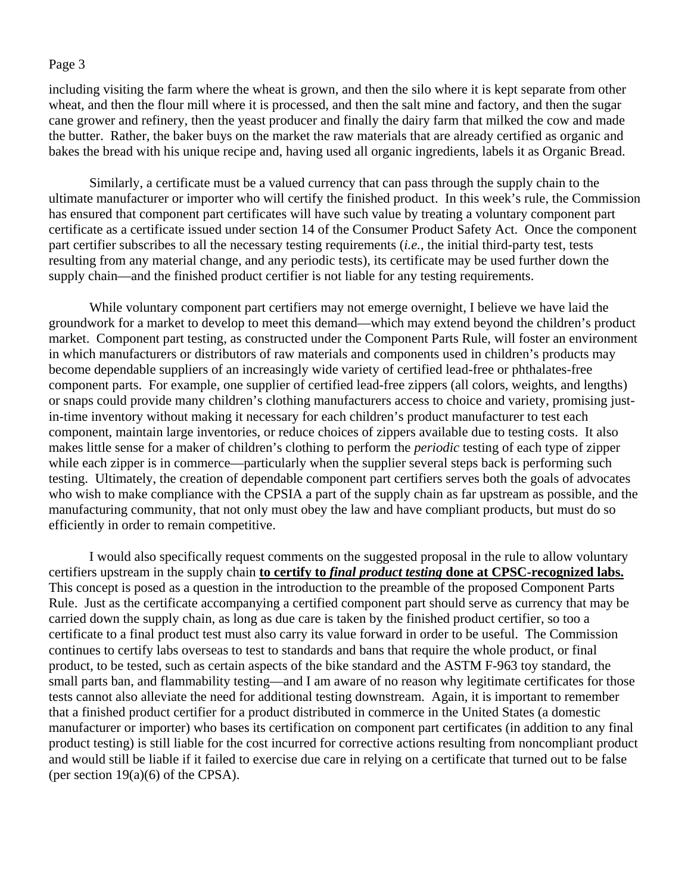including visiting the farm where the wheat is grown, and then the silo where it is kept separate from other wheat, and then the flour mill where it is processed, and then the salt mine and factory, and then the sugar cane grower and refinery, then the yeast producer and finally the dairy farm that milked the cow and made the butter. Rather, the baker buys on the market the raw materials that are already certified as organic and bakes the bread with his unique recipe and, having used all organic ingredients, labels it as Organic Bread.

Similarly, a certificate must be a valued currency that can pass through the supply chain to the ultimate manufacturer or importer who will certify the finished product. In this week's rule, the Commission has ensured that component part certificates will have such value by treating a voluntary component part certificate as a certificate issued under section 14 of the Consumer Product Safety Act. Once the component part certifier subscribes to all the necessary testing requirements (*i.e.*, the initial third-party test, tests resulting from any material change, and any periodic tests), its certificate may be used further down the supply chain—and the finished product certifier is not liable for any testing requirements.

While voluntary component part certifiers may not emerge overnight, I believe we have laid the groundwork for a market to develop to meet this demand—which may extend beyond the children's product market. Component part testing, as constructed under the Component Parts Rule, will foster an environment in which manufacturers or distributors of raw materials and components used in children's products may become dependable suppliers of an increasingly wide variety of certified lead-free or phthalates-free component parts. For example, one supplier of certified lead-free zippers (all colors, weights, and lengths) or snaps could provide many children's clothing manufacturers access to choice and variety, promising justin-time inventory without making it necessary for each children's product manufacturer to test each component, maintain large inventories, or reduce choices of zippers available due to testing costs. It also makes little sense for a maker of children's clothing to perform the *periodic* testing of each type of zipper while each zipper is in commerce—particularly when the supplier several steps back is performing such testing. Ultimately, the creation of dependable component part certifiers serves both the goals of advocates who wish to make compliance with the CPSIA a part of the supply chain as far upstream as possible, and the manufacturing community, that not only must obey the law and have compliant products, but must do so efficiently in order to remain competitive.

 I would also specifically request comments on the suggested proposal in the rule to allow voluntary certifiers upstream in the supply chain **to certify to** *final product testing* **done at CPSC-recognized labs.** This concept is posed as a question in the introduction to the preamble of the proposed Component Parts Rule. Just as the certificate accompanying a certified component part should serve as currency that may be carried down the supply chain, as long as due care is taken by the finished product certifier, so too a certificate to a final product test must also carry its value forward in order to be useful. The Commission continues to certify labs overseas to test to standards and bans that require the whole product, or final product, to be tested, such as certain aspects of the bike standard and the ASTM F-963 toy standard, the small parts ban, and flammability testing—and I am aware of no reason why legitimate certificates for those tests cannot also alleviate the need for additional testing downstream. Again, it is important to remember that a finished product certifier for a product distributed in commerce in the United States (a domestic manufacturer or importer) who bases its certification on component part certificates (in addition to any final product testing) is still liable for the cost incurred for corrective actions resulting from noncompliant product and would still be liable if it failed to exercise due care in relying on a certificate that turned out to be false (per section 19(a)(6) of the CPSA).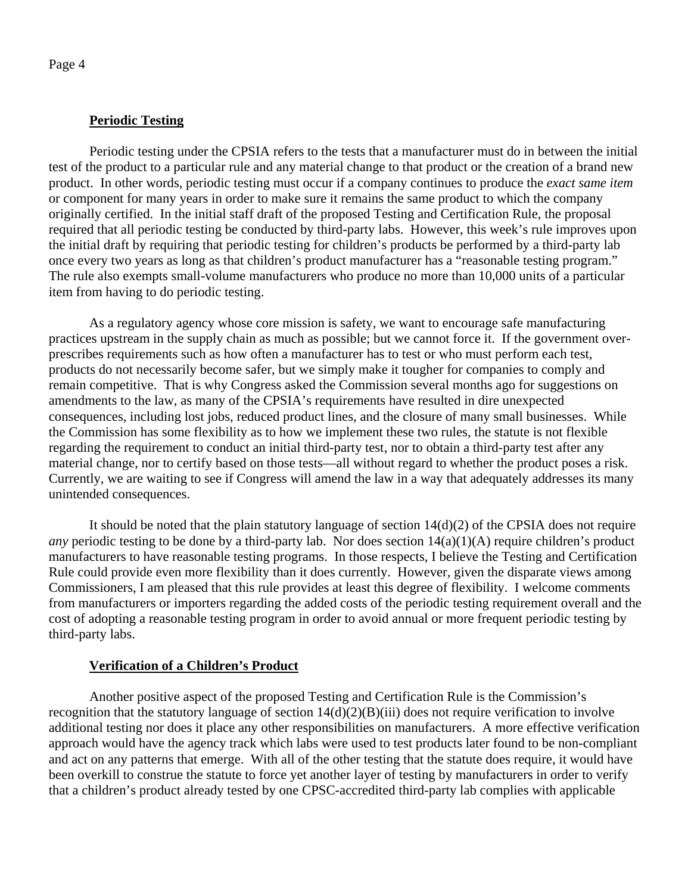## **Periodic Testing**

Periodic testing under the CPSIA refers to the tests that a manufacturer must do in between the initial test of the product to a particular rule and any material change to that product or the creation of a brand new product. In other words, periodic testing must occur if a company continues to produce the *exact same item* or component for many years in order to make sure it remains the same product to which the company originally certified. In the initial staff draft of the proposed Testing and Certification Rule, the proposal required that all periodic testing be conducted by third-party labs. However, this week's rule improves upon the initial draft by requiring that periodic testing for children's products be performed by a third-party lab once every two years as long as that children's product manufacturer has a "reasonable testing program." The rule also exempts small-volume manufacturers who produce no more than 10,000 units of a particular item from having to do periodic testing.

As a regulatory agency whose core mission is safety, we want to encourage safe manufacturing practices upstream in the supply chain as much as possible; but we cannot force it. If the government overprescribes requirements such as how often a manufacturer has to test or who must perform each test, products do not necessarily become safer, but we simply make it tougher for companies to comply and remain competitive. That is why Congress asked the Commission several months ago for suggestions on amendments to the law, as many of the CPSIA's requirements have resulted in dire unexpected consequences, including lost jobs, reduced product lines, and the closure of many small businesses. While the Commission has some flexibility as to how we implement these two rules, the statute is not flexible regarding the requirement to conduct an initial third-party test, nor to obtain a third-party test after any material change, nor to certify based on those tests—all without regard to whether the product poses a risk. Currently, we are waiting to see if Congress will amend the law in a way that adequately addresses its many unintended consequences.

It should be noted that the plain statutory language of section  $14(d)(2)$  of the CPSIA does not require *any* periodic testing to be done by a third-party lab. Nor does section  $14(a)(1)(A)$  require children's product manufacturers to have reasonable testing programs. In those respects, I believe the Testing and Certification Rule could provide even more flexibility than it does currently. However, given the disparate views among Commissioners, I am pleased that this rule provides at least this degree of flexibility. I welcome comments from manufacturers or importers regarding the added costs of the periodic testing requirement overall and the cost of adopting a reasonable testing program in order to avoid annual or more frequent periodic testing by third-party labs.

### **Verification of a Children's Product**

Another positive aspect of the proposed Testing and Certification Rule is the Commission's recognition that the statutory language of section 14(d)(2)(B)(iii) does not require verification to involve additional testing nor does it place any other responsibilities on manufacturers. A more effective verification approach would have the agency track which labs were used to test products later found to be non-compliant and act on any patterns that emerge. With all of the other testing that the statute does require, it would have been overkill to construe the statute to force yet another layer of testing by manufacturers in order to verify that a children's product already tested by one CPSC-accredited third-party lab complies with applicable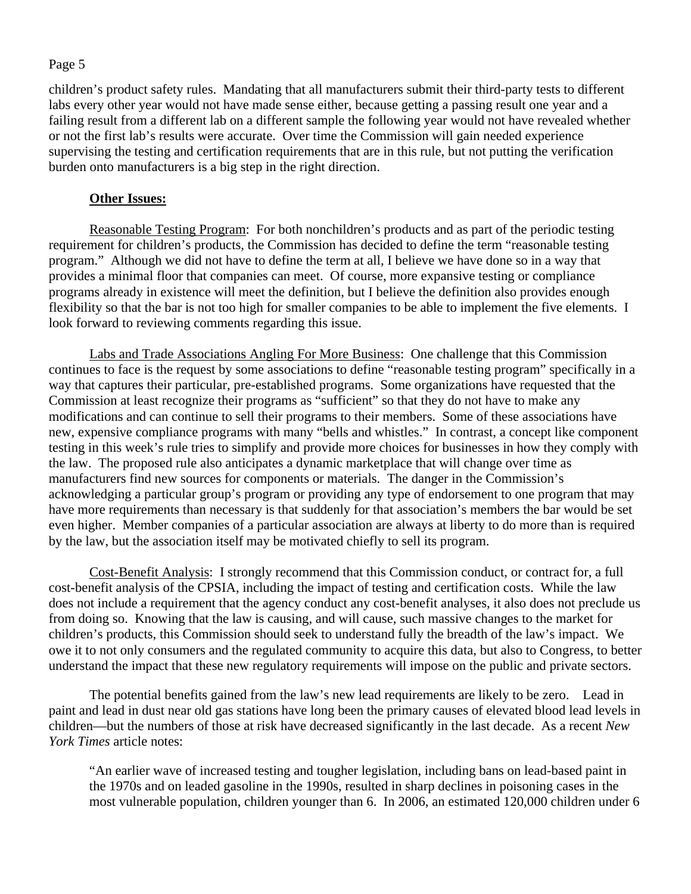children's product safety rules. Mandating that all manufacturers submit their third-party tests to different labs every other year would not have made sense either, because getting a passing result one year and a failing result from a different lab on a different sample the following year would not have revealed whether or not the first lab's results were accurate. Over time the Commission will gain needed experience supervising the testing and certification requirements that are in this rule, but not putting the verification burden onto manufacturers is a big step in the right direction.

### **Other Issues:**

Reasonable Testing Program: For both nonchildren's products and as part of the periodic testing requirement for children's products, the Commission has decided to define the term "reasonable testing program." Although we did not have to define the term at all, I believe we have done so in a way that provides a minimal floor that companies can meet. Of course, more expansive testing or compliance programs already in existence will meet the definition, but I believe the definition also provides enough flexibility so that the bar is not too high for smaller companies to be able to implement the five elements. I look forward to reviewing comments regarding this issue.

Labs and Trade Associations Angling For More Business: One challenge that this Commission continues to face is the request by some associations to define "reasonable testing program" specifically in a way that captures their particular, pre-established programs. Some organizations have requested that the Commission at least recognize their programs as "sufficient" so that they do not have to make any modifications and can continue to sell their programs to their members. Some of these associations have new, expensive compliance programs with many "bells and whistles." In contrast, a concept like component testing in this week's rule tries to simplify and provide more choices for businesses in how they comply with the law. The proposed rule also anticipates a dynamic marketplace that will change over time as manufacturers find new sources for components or materials. The danger in the Commission's acknowledging a particular group's program or providing any type of endorsement to one program that may have more requirements than necessary is that suddenly for that association's members the bar would be set even higher. Member companies of a particular association are always at liberty to do more than is required by the law, but the association itself may be motivated chiefly to sell its program.

Cost-Benefit Analysis: I strongly recommend that this Commission conduct, or contract for, a full cost-benefit analysis of the CPSIA, including the impact of testing and certification costs. While the law does not include a requirement that the agency conduct any cost-benefit analyses, it also does not preclude us from doing so. Knowing that the law is causing, and will cause, such massive changes to the market for children's products, this Commission should seek to understand fully the breadth of the law's impact. We owe it to not only consumers and the regulated community to acquire this data, but also to Congress, to better understand the impact that these new regulatory requirements will impose on the public and private sectors.

The potential benefits gained from the law's new lead requirements are likely to be zero. Lead in paint and lead in dust near old gas stations have long been the primary causes of elevated blood lead levels in children—but the numbers of those at risk have decreased significantly in the last decade. As a recent *New York Times* article notes:

"An earlier wave of increased testing and tougher legislation, including bans on lead-based paint in the 1970s and on leaded gasoline in the 1990s, resulted in sharp declines in poisoning cases in the most vulnerable population, children younger than 6. In 2006, an estimated 120,000 children under 6